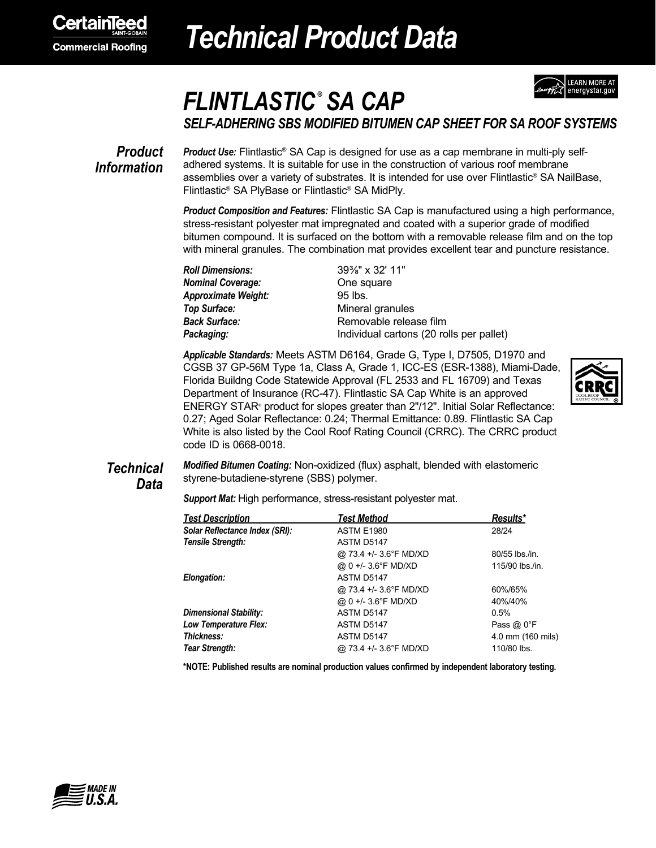

# *Technical Product Data*



## *FLINTLASTIC ® SA CAP*

*SELF-ADHERING SBS MODIFIED BITUMEN CAP SHEET FOR SA ROOF SYSTEMS*

### *Product Information*

*Product Use:* Flintlastic® SA Cap is designed for use as a cap membrane in multi-ply selfadhered systems. It is suitable for use in the construction of various roof membrane assemblies over a variety of substrates. It is intended for use over Flintlastic® SA NailBase, Flintlastic® SA PlyBase or Flintlastic® SA MidPly.

*Product Composition and Features:* Flintlastic SA Cap is manufactured using a high performance, stress-resistant polyester mat impregnated and coated with a superior grade of modified bitumen compound. It is surfaced on the bottom with a removable release film and on the top with mineral granules. The combination mat provides excellent tear and puncture resistance.

*Roll Dimensions:* 39⅜" x 32' 11" **Nominal Coverage: Cone Solution** One square *Approximate Weight:* 95 lbs. **Top Surface:** Mineral granules

**Back Surface:** Removable release film **Packaging:** Individual cartons (20 rolls per pallet)

*Applicable Standards:* Meets ASTM D6164, Grade G, Type I, D7505, D1970 and CGSB 37 GP-56M Type 1a, Class A, Grade 1, ICC-ES (ESR-1388), Miami-Dade, Florida Buildng Code Statewide Approval (FL 2533 and FL 16709) and Texas Department of Insurance (RC-47). Flintlastic SA Cap White is an approved ENERGY STAR® product for slopes greater than 2"/12". Initial Solar Reflectance: 0.27; Aged Solar Reflectance: 0.24; Thermal Emittance: 0.89. Flintlastic SA Cap White is also listed by the Cool Roof Rating Council (CRRC). The CRRC product code ID is 0668-0018.



### *Technical Data*

*Modified Bitumen Coating:* Non-oxidized (flux) asphalt, blended with elastomeric styrene-butadiene-styrene (SBS) polymer.

*Support Mat:* High performance, stress-resistant polyester mat.

| <b>Test Description</b>        | <b>Test Method</b>     | Results*           |
|--------------------------------|------------------------|--------------------|
| Solar Reflectance Index (SRI): | <b>ASTM E1980</b>      | 28/24              |
| Tensile Strength:              | ASTM D5147             |                    |
|                                | @ 73.4 +/- 3.6°F MD/XD | 80/55 lbs./in.     |
|                                | @ 0 +/- 3.6°F MD/XD    | 115/90 lbs./in.    |
| Elongation:                    | ASTM D5147             |                    |
|                                | @ 73.4 +/- 3.6°F MD/XD | 60%/65%            |
|                                | @ 0 +/- 3.6°F MD/XD    | 40%/40%            |
| Dimensional Stability:         | ASTM D5147             | 0.5%               |
| Low Temperature Flex:          | ASTM D5147             | Pass $@0^{\circ}F$ |
| Thickness:                     | ASTM D5147             | 4.0 mm (160 mils)  |
| Tear Strength:                 | @ 73.4 +/- 3.6°F MD/XD | 110/80 lbs.        |

**\*NOTE: Published results are nominal production values confirmed by independent laboratory testing.**